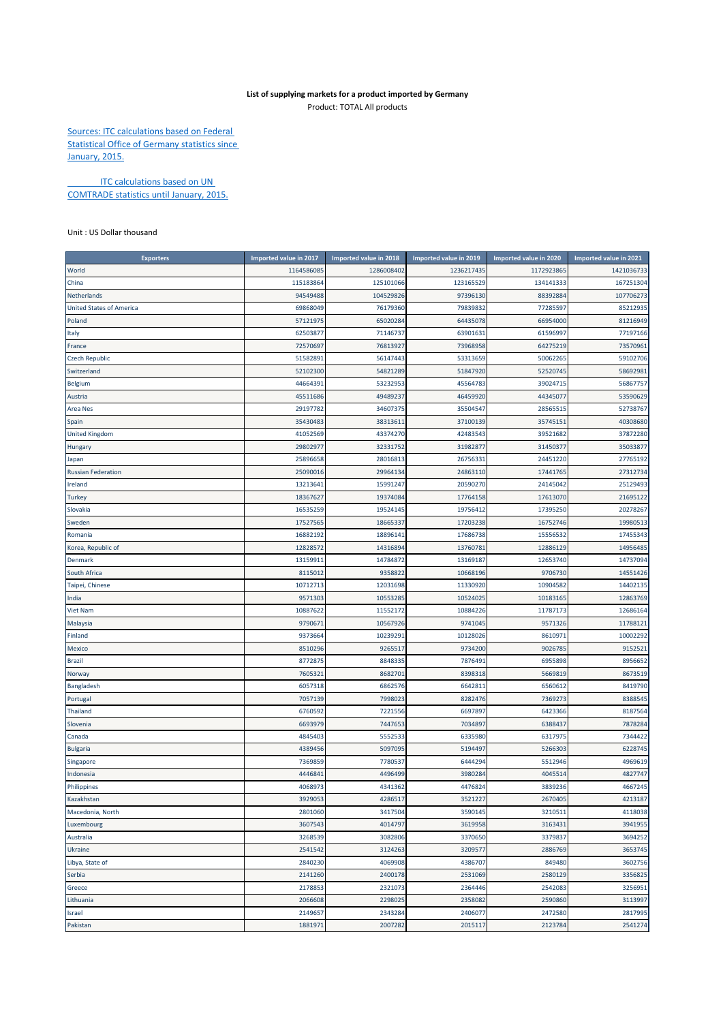## **List of supplying markets for a product imported by Germany** Product: TOTAL All products

Sources: ITC calculations based on Federal Statistical Office of Germany statistics since January, 2015.

**ITC calculations based on UN** COMTRADE statistics until January, 2015.

Unit : US Dollar thousand

| <b>Exporters</b>                | Imported value in 2017 | Imported value in 2018 | Imported value in 2019 | Imported value in 2020 | Imported value in 2021 |
|---------------------------------|------------------------|------------------------|------------------------|------------------------|------------------------|
| World                           | 1164586085             | 1286008402             | 1236217435             | 1172923865             | 1421036733             |
| China                           | 115183864              | 125101066              | 123165529              | 134141333              | 167251304              |
| Netherlands                     | 94549488               | 104529826              | 97396130               | 88392884               | 107706273              |
| <b>United States of America</b> | 69868049               | 76179360               | 79839832               | 77285597               | 85212935               |
| Poland                          | 57121975               | 65020284               | 64435078               | 66954000               | 81216949               |
| Italy                           | 62503877               | 71146737               | 63901631               | 61596997               | 77197166               |
| France                          | 72570697               | 76813927               | 73968958               | 64275219               | 73570961               |
| <b>Czech Republic</b>           | 51582891               | 56147443               | 53313659               | 50062265               | 59102706               |
| Switzerland                     | 52102300               | 54821289               | 51847920               | 52520745               | 58692981               |
| <b>Belgium</b>                  | 44664391               | 53232953               | 45564783               | 39024715               | 56867757               |
| Austria                         | 45511686               | 49489237               | 46459920               | 44345077               | 53590629               |
| Area Nes                        | 29197782               | 34607375               | 35504547               | 28565515               | 52738767               |
| Spain                           | 35430483               | 38313611               | 37100139               | 35745151               | 40308680               |
| <b>United Kingdom</b>           | 41052569               | 43374270               | 42483543               | 39521682               | 37872280               |
| Hungary                         | 29802977               | 32331752               | 31982877               | 31450377               | 35033877               |
| Japan                           | 25896658               | 28016813               | 26756331               | 24451220               | 27765192               |
| <b>Russian Federation</b>       | 25090016               | 29964134               | 24863110               | 17441765               | 27312734               |
| Ireland                         | 13213641               | 15991247               | 20590270               | 24145042               | 25129493               |
| <b>Turkey</b>                   | 18367627               | 19374084               | 17764158               | 17613070               | 21695122               |
| Slovakia                        | 16535259               | 19524145               | 19756412               | 17395250               | 20278267               |
| Sweden                          | 17527565               | 18665337               | 17203238               | 16752746               | 19980513               |
| Romania                         | 16882192               | 18896141               | 17686738               | 15556532               | 17455343               |
| Korea, Republic of              | 12828572               | 14316894               | 13760781               | 12886129               | 14956485               |
| Denmark                         | 13159911               | 14784872               | 13169187               | 12653740               | 14737094               |
| South Africa                    | 8115012                | 9358822                | 10668196               | 9706730                | 14551426               |
| Taipei, Chinese                 | 10712713               | 12031698               | 11330920               | 10904582               | 14402135               |
| India                           | 9571303                | 10553285               | 10524025               | 10183165               | 12863769               |
| <b>Viet Nam</b>                 | 10887622               | 11552172               | 10884226               | 11787173               | 12686164               |
| Malaysia                        | 9790671                | 10567926               | 9741045                | 9571326                | 11788121               |
| Finland                         | 9373664                | 10239291               | 10128026               | 8610971                | 10002292               |
| <b>Mexico</b>                   | 8510296                | 9265517                | 9734200                | 9026785                | 9152521                |
| <b>Brazil</b>                   | 8772875                | 8848335                | 7876491                | 6955898                | 8956652                |
| Norway                          | 7605321                | 8682701                | 8398318                | 5669819                | 8673519                |
| Bangladesh                      | 6057318                | 6862576                | 6642811                | 6560612                | 8419790                |
| Portugal                        | 7057139                | 7998023                | 8282476                | 7369273                | 8388545                |
| Thailand                        | 6760592                | 7221556                | 6697897                | 6423366                | 8187564                |
| Slovenia                        | 6693979                | 7447653                | 7034897                | 6388437                | 7878284                |
| Canada                          | 4845403                | 5552533                | 6335980                | 6317975                | 7344422                |
| <b>Bulgaria</b>                 | 4389456                | 5097095                | 5194497                | 5266303                | 6228745                |
| Singapore                       | 7369859                | 7780537                | 6444294                | 5512946                | 4969619                |
| Indonesia                       | 4446841                | 4496499                | 3980284                | 4045514                | 4827747                |
| Philippines                     | 4068973                | 4341362                | 4476824                | 3839236                | 4667245                |
| Kazakhstan                      | 3929053                | 4286517                | 3521227                | 2670405                | 4213187                |
| Macedonia, North                | 2801060                | 3417504                | 3590145                | 3210511                | 4118038                |
| Luxembourg                      | 3607543                | 4014797                | 3619958                | 3163431                | 3941955                |
| Australia                       | 3268539                | 3082806                | 3370650                | 3379837                | 3694252                |
| Ukraine                         | 2541542                | 3124263                | 3209577                | 2886769                | 3653745                |
| Libya, State of                 | 2840230                | 4069908<br>2400178     | 4386707<br>2531069     | 849480                 | 3602756                |
| Serbia                          | 2141260                |                        |                        | 2580129                | 3356825                |
| Greece                          | 2178853<br>2066608     | 2321073<br>2298025     | 2364446<br>2358082     | 2542083<br>2590860     | 3256951<br>3113997     |
| Lithuania<br>Israel             | 2149657                | 2343284                | 2406077                | 2472580                | 2817995                |
| Pakistan                        | 1881971                | 2007282                | 2015117                | 2123784                | 2541274                |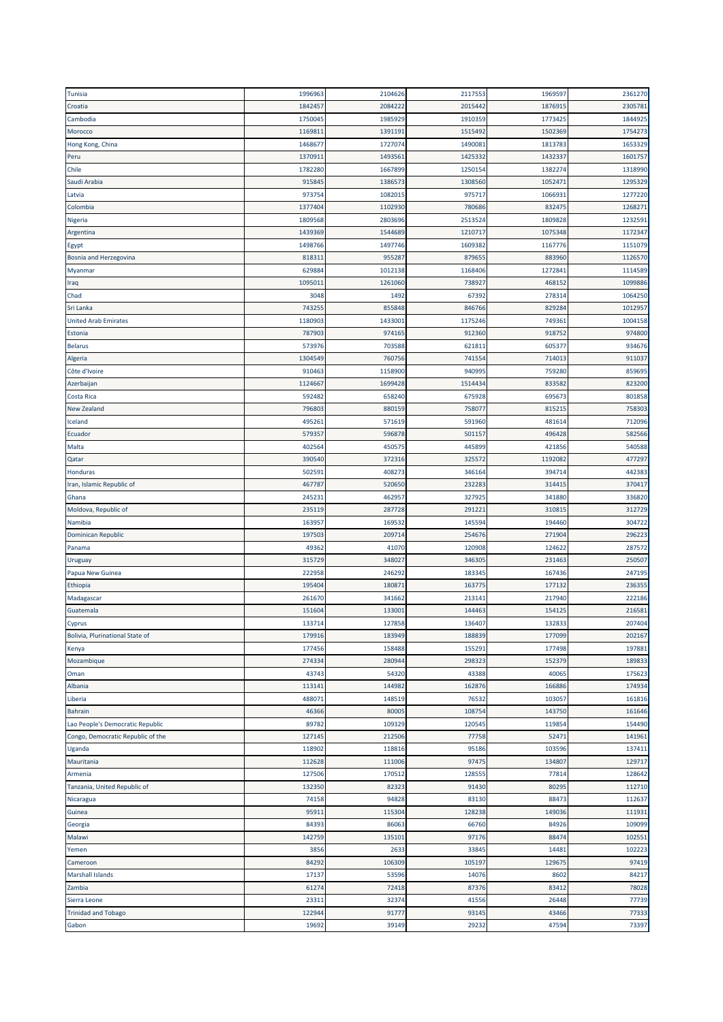| Tunisia                           | 1996963 | 2104626 | 2117553 | 1969597          | 2361270          |
|-----------------------------------|---------|---------|---------|------------------|------------------|
| Croatia                           | 1842457 | 2084222 | 2015442 | 1876915          | 2305781          |
| Cambodia                          | 1750045 | 1985929 | 1910359 | 1773425          | 1844925          |
| Morocco                           | 1169811 | 139119: | 1515492 | 1502369          | 1754273          |
| Hong Kong, China                  | 1468677 | 1727074 | 1490081 | 1813783          | 1653329          |
| Peru                              | 1370911 | 1493561 | 1425332 | 1432337          | 1601757          |
| Chile                             | 1782280 | 1667899 | 1250154 | 1382274          | 1318990          |
| Saudi Arabia                      | 915845  | 1386573 | 1308560 | 1052471          | 1295329          |
| Latvia                            | 973754  | 1082015 | 975717  | 1066931          | 1277220          |
| Colombia                          | 1377404 | 1102930 | 780686  | 832475           | 1268271          |
| Nigeria                           | 1809568 | 2803696 | 2513524 | 1809828          | 1232591          |
| Argentina                         | 1439369 | 1544689 | 1210717 | 1075348          | 1172347          |
| Egypt                             | 1498766 | 1497746 | 1609382 | 1167776          | 1151079          |
| <b>Bosnia and Herzegovina</b>     | 818311  | 955287  | 879655  | 883960           | 1126570          |
| Myanmar                           | 629884  | 1012138 | 1168406 | 1272841          | 1114589          |
| Iraq                              | 1095011 | 1261060 | 738927  | 468152           | 1099886          |
| Chad                              | 3048    | 1492    | 67392   | 278314           | 1064250          |
| Sri Lanka                         | 743255  | 855848  | 846766  | 829284           | 1012957          |
| <b>United Arab Emirates</b>       | 1180903 | 1433001 | 1175246 | 749361           | 1004158          |
| Estonia                           | 787903  | 974165  | 912360  | 918752           | 974800           |
| <b>Belarus</b>                    | 573976  | 703588  | 621811  | 605377           | 934676           |
| Algeria                           | 1304549 | 760756  | 741554  | 714013           | 911037           |
| Côte d'Ivoire                     | 910463  | 1158900 | 940995  | 759280           | 859695           |
| Azerbaijan                        | 1124667 | 1699428 | 1514434 | 833582           | 823200           |
| Costa Rica                        | 592482  | 658240  | 675928  | 695673           | 801858           |
| New Zealand                       | 796803  | 880159  | 758077  | 815215           | 758303           |
| Iceland                           | 495261  | 571619  | 591960  | 481614           | 712096           |
| Ecuador                           | 579357  | 596878  | 501157  | 496428           | 582566           |
| Malta                             | 402564  | 450575  | 445899  | 421856           | 540588           |
| Qatar                             | 390540  | 372316  | 325572  | 1192082          | 477297           |
| Honduras                          | 502591  | 408273  | 346164  | 394714           | 442383           |
| Iran, Islamic Republic of         | 467787  | 520650  | 232283  | 314415           | 370417           |
|                                   | 245231  | 462957  | 327925  | 341880           | 336820           |
| Ghana<br>Moldova, Republic of     | 235119  | 287728  | 291221  | 310815           | 312729           |
| Namibia                           | 163957  | 169532  | 145594  | 194460           | 304722           |
| Dominican Republic                | 197503  | 209714  | 254676  | 271904           | 296223           |
|                                   | 49362   | 41070   | 120908  |                  |                  |
| Panama                            | 315729  | 348027  | 346305  | 124622<br>231463 | 287572<br>250507 |
| Uruguay                           |         |         |         |                  | 247195           |
| Papua New Guinea                  | 222958  | 246292  | 183345  | 167436           |                  |
| Ethiopia                          | 195404  | 180871  | 163775  | 177132           | 236355           |
| Madagascar                        | 261670  | 341662  | 213141  | 217940           | 222186           |
| Guatemala                         | 151604  | 13300   | 144463  | 154125           | 216581           |
| Cyprus                            | 133714  | 127858  | 136407  | 132833           | 207404           |
| Bolivia, Plurinational State of   | 179916  | 183949  | 188839  | 177099           | 202167           |
| Kenya                             | 177456  | 158488  | 155291  | 177498           | 197881           |
| Mozambique                        | 274334  | 280944  | 298323  | 152379           | 189833           |
| Oman                              | 43743   | 54320   | 43388   | 40065            | 175623           |
| Albania                           | 113141  | 144982  | 162876  | 166886           | 174934           |
| Liberia                           | 488071  | 148519  | 76532   | 103057           | 161816           |
| <b>Bahrain</b>                    | 46366   | 80005   | 108754  | 143750           | 161646           |
| Lao People's Democratic Republic  | 89782   | 109329  | 120545  | 119854           | 154490           |
| Congo, Democratic Republic of the | 127145  | 212506  | 77758   | 52471            | 141961           |
| Uganda                            | 118902  | 118816  | 95186   | 103596           | 137411           |
| Mauritania                        | 112628  | 111006  | 97475   | 134807           | 129717           |
| Armenia                           | 127506  | 170512  | 128555  | 77814            | 128642           |
| Tanzania, United Republic of      | 132350  | 82323   | 91430   | 80295            | 112710           |
| Nicaragua                         | 74158   | 94828   | 83130   | 88473            | 112637           |
| Guinea                            | 95911   | 115304  | 128238  | 149036           | 111931           |
| Georgia                           | 84393   | 86063   | 66760   | 84926            | 109099           |
| Malawi                            | 142759  | 135101  | 97176   | 88474            | 102551           |
| Yemen                             | 3856    | 2633    | 33845   | 14481            | 102223           |
| Cameroon                          | 84292   | 106309  | 105197  | 129675           | 97419            |
| <b>Marshall Islands</b>           | 17137   | 53596   | 14076   | 8602             | 84217            |
| Zambia                            | 61274   | 72418   | 87376   | 83412            | 78028            |
| Sierra Leone                      | 23311   | 32374   | 41556   | 26448            | 77739            |
| <b>Trinidad and Tobago</b>        | 122944  | 91777   | 93145   | 43466            | 77333            |
| Gabon                             | 19692   | 39149   | 29232   | 47594            | 73397            |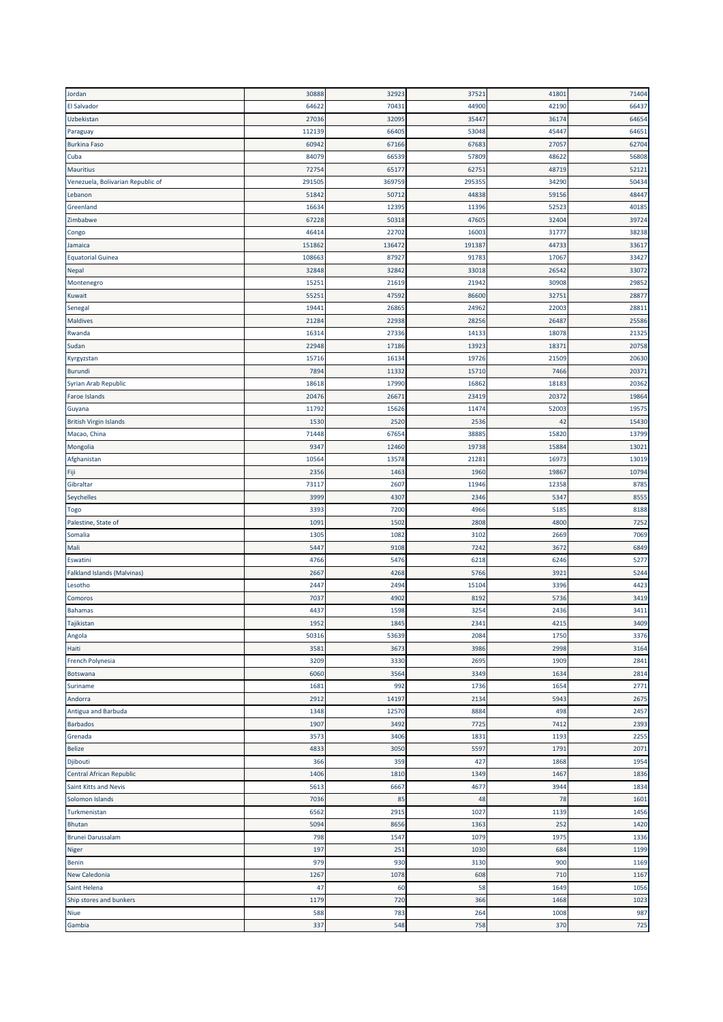| Jordan                             | 30888        | 32923        | 37521         | 41801        | 71404        |
|------------------------------------|--------------|--------------|---------------|--------------|--------------|
| <b>El Salvador</b>                 | 64622        | 70431        | 44900         | 42190        | 66437        |
| Uzbekistan                         | 27036        | 32095        | 35447         | 36174        | 64654        |
| Paraguay                           | 112139       | 66405        | 53048         | 45447        | 64651        |
| <b>Burkina Faso</b>                | 60942        | 67166        | 67683         | 27057        | 62704        |
| Cuba                               | 84079        | 66539        | 57809         | 48622        | 56808        |
| <b>Mauritius</b>                   | 72754        | 65177        | 62751         | 48719        | 52121        |
| Venezuela, Bolivarian Republic of  | 291505       | 369759       | 295355        | 34290        | 50434        |
| Lebanon                            | 51842        | 50712        | 44838         | 59156        | 48447        |
| Greenland                          | 16634        | 12395        | 11396         | 52523        | 40185        |
| Zimbabwe                           | 67228        | 50318        | 47605         | 32404        | 39724        |
| Congo                              | 46414        | 22702        | 16003         | 31777        | 38238        |
| Jamaica                            | 151862       | 136472       | 191387        | 44733        | 33617        |
| <b>Equatorial Guinea</b>           | 108663       | 87927        | 91783         | 17067        | 33427        |
| <b>Nepal</b>                       | 32848        | 32842        | 33018         | 26542        | 33072        |
| Montenegro                         | 15251        | 21619        | 21942         | 30908        | 29852        |
| Kuwait                             | 55251        | 47592        | 86600         | 32751        | 28877        |
| Senegal                            | 19441        | 26865        | 24962         | 22003        | 28811        |
| <b>Maldives</b>                    | 21284        | 22938        | 28256         | 26487        | 25586        |
| Rwanda                             | 16314        | 27336        | 14133         | 18078        | 21325        |
| Sudan                              | 22948        | 17186        | 13923         | 18371        | 20758        |
| Kyrgyzstan                         | 15716        | 16134        | 19726         | 21509        | 20630        |
| Burundi                            | 7894         | 11332        | 15710         | 7466         | 20371        |
| Syrian Arab Republic               | 18618        | 17990        | 16862         | 18183        | 20362        |
| Faroe Islands                      | 20476        | 26671        | 23419         | 20372        | 19864        |
| Guyana                             | 11792        | 15626        | 11474         | 52003        | 19575        |
| <b>British Virgin Islands</b>      | 1530         | 2520         | 2536          | 42           | 15430        |
| Macao, China                       | 71448        | 67654        | 38885         | 15820        | 13799        |
| Mongolia                           | 9347         | 12460        | 19738         | 15884        | 13021        |
| Afghanistan                        | 10564        | 13578        | 21281         | 16973        | 13019        |
| Fiji                               | 2356         | 1463         | 1960          | 19867        | 10794        |
| Gibraltar                          | 73117        | 2607         | 11946         | 12358        | 8785         |
|                                    | 3999         | 4307         |               |              | 8555         |
| Seychelles                         | 3393         | 7200         | 2346<br>4966  | 5347<br>5185 | 8188         |
| Togo<br>Palestine, State of        | 1091         | 1502         | 2808          | 4800         | 7252         |
| Somalia                            | 1305         | 1082         | 3102          | 2669         | 7069         |
|                                    |              |              |               |              |              |
| Mali<br>Eswatini                   | 5447<br>4766 | 9108<br>5476 | 7242<br>6218  | 3672<br>6246 | 6849<br>5277 |
|                                    | 2667         |              | 5766          | 3921         | 5244         |
| <b>Falkland Islands (Malvinas)</b> |              | 4268         |               |              |              |
| Lesotho                            | 2447<br>7037 | 2494         | 15104<br>8192 | 3396<br>5736 | 4423<br>3419 |
| Comoros                            |              | 4902         |               |              | 3411         |
| <b>Bahamas</b>                     | 443          | 1598         | 3254          | 2436         |              |
| Tajikistan                         | 1952         | 1845         | 2341          | 4215         | 3409         |
| Angola                             | 50316        | 53639        | 2084          | 1750         | 3376         |
| Haiti                              | 3581         | 3673         | 3986          | 2998         | 3164         |
| French Polynesia                   | 3209         | 3330         | 2695          | 1909         | 2841         |
| Botswana                           | 6060         | 3564         | 3349          | 1634         | 2814         |
| Suriname                           | 1681         | 992          | 1736          | 1654         | 2771         |
| Andorra                            | 2912         | 14197        | 2134          | 5943         | 2675         |
| Antigua and Barbuda                | 1348         | 12570        | 8884          | 498          | 2457         |
| <b>Barbados</b>                    | 1907         | 3492         | 7725          | 7412         | 2393         |
| Grenada                            | 3573         | 3406         | 1831          | 1193         | 2255         |
| <b>Belize</b>                      | 4833         | 3050         | 5597          | 1791         | 2071         |
| Djibouti                           | 366          | 359          | 427           | 1868         | 1954         |
| Central African Republic           | 1406         | 1810         | 1349          | 1467         | 1836         |
| Saint Kitts and Nevis              | 5613         | 6667         | 4677          | 3944         | 1834         |
| Solomon Islands                    | 7036         | 85           | 48            | 78           | 1601         |
| Turkmenistan                       | 6562         | 2915         | 1027          | 1139         | 1456         |
| Bhutan                             | 5094         | 8656         | 1363          | 252          | 1420         |
| <b>Brunei Darussalam</b>           | 798          | 1547         | 1079          | 1975         | 1336         |
| Niger                              | 197          | 251          | 1030          | 684          | 1199         |
| Benin                              | 979          | 930          | 3130          | 900          | 1169         |
| New Caledonia                      | 1267         | 1078         | 608           | 710          | 1167         |
| Saint Helena                       | 47           | 60           | 58            | 1649         | 1056         |
| Ship stores and bunkers            | 1179         | 720          | 366           | 1468         | 1023         |
| Niue                               | 588          | 783          | 264           | 1008         | 987          |
| Gambia                             | 337          | 548          | 758           | 370          | 725          |